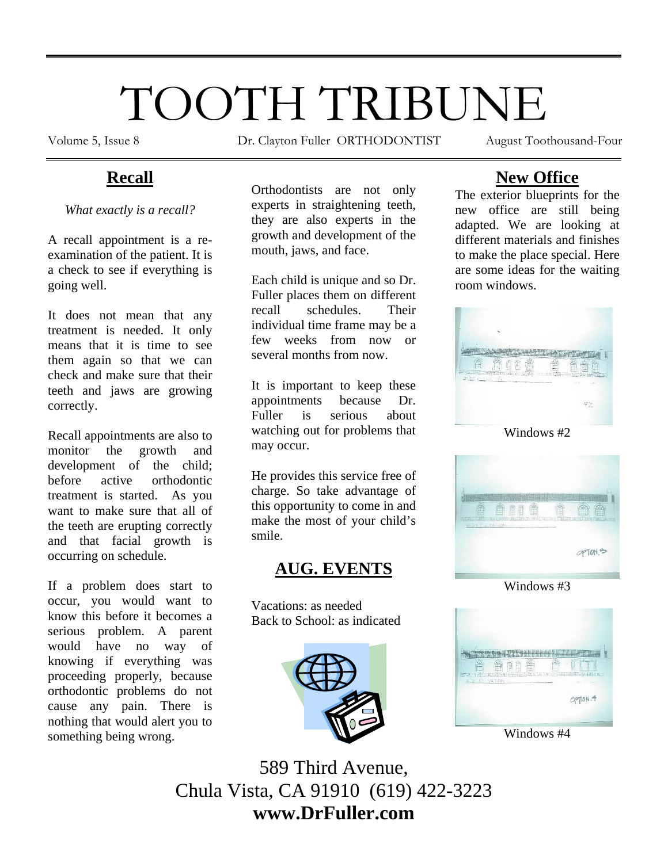# TOOTH TRIBUNE

Volume 5, Issue 8 Dr. Clayton Fuller ORTHODONTIST August Toothousand-Four

# **Recall**

*What exactly is a recall?* 

A recall appointment is a reexamination of the patient. It is a check to see if everything is going well.

It does not mean that any treatment is needed. It only means that it is time to see them again so that we can check and make sure that their teeth and jaws are growing correctly.

Recall appointments are also to monitor the growth and development of the child; before active orthodontic treatment is started. As you want to make sure that all of the teeth are erupting correctly and that facial growth is occurring on schedule.

If a problem does start to occur, you would want to know this before it becomes a serious problem. A parent would have no way of knowing if everything was proceeding properly, because orthodontic problems do not cause any pain. There is nothing that would alert you to something being wrong.

Orthodontists are not only experts in straightening teeth, they are also experts in the growth and development of the mouth, jaws, and face.

Each child is unique and so Dr. Fuller places them on different recall schedules. Their individual time frame may be a few weeks from now or several months from now.

It is important to keep these appointments because Dr. Fuller is serious about watching out for problems that may occur.

He provides this service free of charge. So take advantage of this opportunity to come in and make the most of your child's smile.

## **AUG. EVENTS**

Vacations: as needed Back to School: as indicated



# **New Office**

The exterior blueprints for the new office are still being adapted. We are looking at different materials and finishes to make the place special. Here are some ideas for the waiting room windows.



Windows #2



Windows #3



Windows #4

589 Third Avenue, Chula Vista, CA 91910 (619) 422-3223 **www.DrFuller.com**